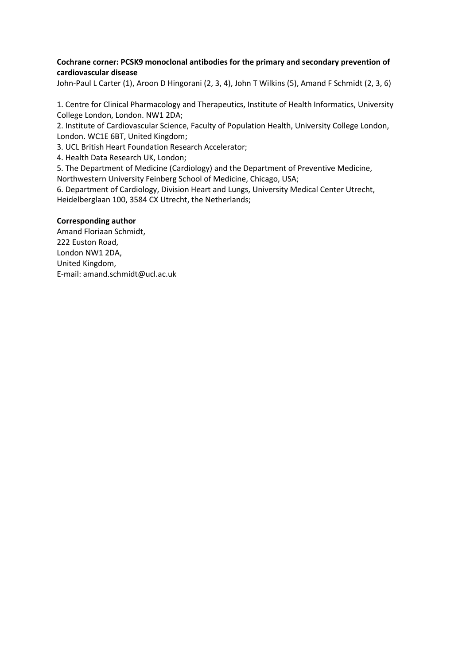# Cochrane corner: PCSK9 monoclonal antibodies for the primary and secondary prevention of cardiovascular disease

John-Paul L Carter (1), Aroon D Hingorani (2, 3, 4), John T Wilkins (5), Amand F Schmidt (2, 3, 6)

1. Centre for Clinical Pharmacology and Therapeutics, Institute of Health Informatics, University College London, London. NW1 2DA;

2. Institute of Cardiovascular Science, Faculty of Population Health, University College London, London. WC1E 6BT, United Kingdom;

3. UCL British Heart Foundation Research Accelerator;

4. Health Data Research UK, London;

5. The Department of Medicine (Cardiology) and the Department of Preventive Medicine,

Northwestern University Feinberg School of Medicine, Chicago, USA;

6. Department of Cardiology, Division Heart and Lungs, University Medical Center Utrecht, Heidelberglaan 100, 3584 CX Utrecht, the Netherlands;

## Corresponding author

Amand Floriaan Schmidt, 222 Euston Road, London NW1 2DA, United Kingdom, E-mail: amand.schmidt@ucl.ac.uk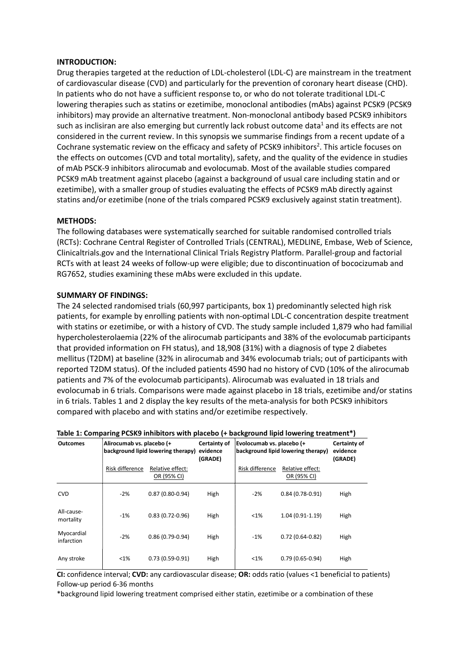#### INTRODUCTION:

Drug therapies targeted at the reduction of LDL-cholesterol (LDL-C) are mainstream in the treatment of cardiovascular disease (CVD) and particularly for the prevention of coronary heart disease (CHD). In patients who do not have a sufficient response to, or who do not tolerate traditional LDL-C lowering therapies such as statins or ezetimibe, monoclonal antibodies (mAbs) against PCSK9 (PCSK9 inhibitors) may provide an alternative treatment. Non-monoclonal antibody based PCSK9 inhibitors such as inclisiran are also emerging but currently lack robust outcome data<sup>1</sup> and its effects are not considered in the current review. In this synopsis we summarise findings from a recent update of a Cochrane systematic review on the efficacy and safety of PCSK9 inhibitors<sup>2</sup>. This article focuses on the effects on outcomes (CVD and total mortality), safety, and the quality of the evidence in studies of mAb PSCK-9 inhibitors alirocumab and evolocumab. Most of the available studies compared PCSK9 mAb treatment against placebo (against a background of usual care including statin and or ezetimibe), with a smaller group of studies evaluating the effects of PCSK9 mAb directly against statins and/or ezetimibe (none of the trials compared PCSK9 exclusively against statin treatment).

## METHODS:

The following databases were systematically searched for suitable randomised controlled trials (RCTs): Cochrane Central Register of Controlled Trials (CENTRAL), MEDLINE, Embase, Web of Science, Clinicaltrials.gov and the International Clinical Trials Registry Platform. Parallel-group and factorial RCTs with at least 24 weeks of follow-up were eligible; due to discontinuation of bococizumab and RG7652, studies examining these mAbs were excluded in this update.

#### SUMMARY OF FINDINGS:

The 24 selected randomised trials (60,997 participants, box 1) predominantly selected high risk patients, for example by enrolling patients with non-optimal LDL-C concentration despite treatment with statins or ezetimibe, or with a history of CVD. The study sample included 1,879 who had familial hypercholesterolaemia (22% of the alirocumab participants and 38% of the evolocumab participants that provided information on FH status), and 18,908 (31%) with a diagnosis of type 2 diabetes mellitus (T2DM) at baseline (32% in alirocumab and 34% evolocumab trials; out of participants with reported T2DM status). Of the included patients 4590 had no history of CVD (10% of the alirocumab patients and 7% of the evolocumab participants). Alirocumab was evaluated in 18 trials and evolocumab in 6 trials. Comparisons were made against placebo in 18 trials, ezetimibe and/or statins in 6 trials. Tables 1 and 2 display the key results of the meta-analysis for both PCSK9 inhibitors compared with placebo and with statins and/or ezetimibe respectively.

| <b>Outcomes</b>          | Alirocumab vs. placebo (+<br>background lipid lowering therapy) |                                 | Certainty of<br>evidence<br>(GRADE) | Evolocumab vs. placebo (+<br>background lipid lowering therapy) |                                 | Certainty of<br>evidence<br>(GRADE) |
|--------------------------|-----------------------------------------------------------------|---------------------------------|-------------------------------------|-----------------------------------------------------------------|---------------------------------|-------------------------------------|
|                          | Risk difference                                                 | Relative effect:<br>OR (95% CI) |                                     | Risk difference                                                 | Relative effect:<br>OR (95% CI) |                                     |
| <b>CVD</b>               | $-2%$                                                           | $0.87(0.80-0.94)$               | High                                | $-2%$                                                           | $0.84(0.78-0.91)$               | High                                |
| All-cause-<br>mortality  | $-1%$                                                           | $0.83(0.72 - 0.96)$             | High                                | $< 1\%$                                                         | $1.04(0.91-1.19)$               | High                                |
| Myocardial<br>infarction | $-2%$                                                           | $0.86(0.79-0.94)$               | High                                | $-1%$                                                           | $0.72(0.64-0.82)$               | High                                |
| Any stroke               | <1%                                                             | $0.73(0.59-0.91)$               | High                                | $< 1\%$                                                         | $0.79(0.65-0.94)$               | High                                |

#### Table 1: Comparing PCSK9 inhibitors with placebo (+ background lipid lowering treatment\*)

CI: confidence interval; CVD: any cardiovascular disease; OR: odds ratio (values <1 beneficial to patients) Follow-up period 6-36 months

\*background lipid lowering treatment comprised either statin, ezetimibe or a combination of these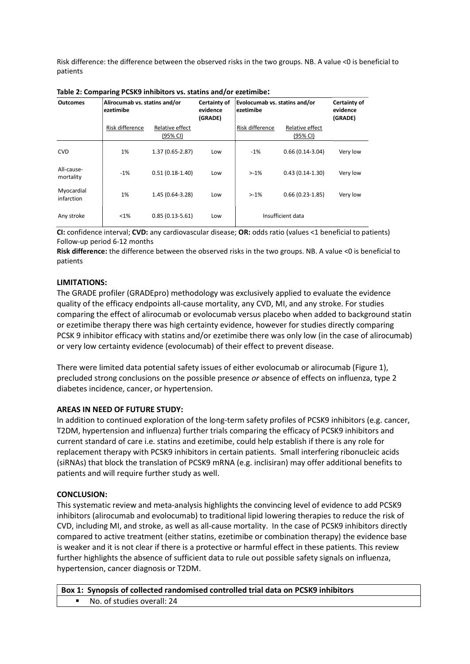Risk difference: the difference between the observed risks in the two groups. NB. A value <0 is beneficial to patients

| <b>Outcomes</b>          | Alirocumab vs. statins and/or<br>ezetimibe |                             | Certainty of<br>evidence<br>(GRADE) | Evolocumab vs. statins and/or<br>ezetimibe |                             | Certainty of<br>evidence<br>(GRADE) |
|--------------------------|--------------------------------------------|-----------------------------|-------------------------------------|--------------------------------------------|-----------------------------|-------------------------------------|
|                          | Risk difference                            | Relative effect<br>(95% CI) |                                     | Risk difference                            | Relative effect<br>(95% CI) |                                     |
| <b>CVD</b>               | 1%                                         | $1.37(0.65 - 2.87)$         | Low                                 | $-1%$                                      | $0.66(0.14-3.04)$           | Very low                            |
| All-cause-<br>mortality  | $-1%$                                      | $0.51(0.18-1.40)$           | Low                                 | $> -1\%$                                   | $0.43(0.14-1.30)$           | Very low                            |
| Myocardial<br>infarction | 1%                                         | 1.45 (0.64-3.28)            | Low                                 | $>1\%$                                     | $0.66(0.23-1.85)$           | Very low                            |
| Any stroke               | $< 1\%$                                    | $0.85(0.13-5.61)$           | Low                                 |                                            | Insufficient data           |                                     |

| Table 2: Comparing PCSK9 inhibitors vs. statins and/or ezetimibe: |  |
|-------------------------------------------------------------------|--|
|-------------------------------------------------------------------|--|

CI: confidence interval; CVD: any cardiovascular disease; OR: odds ratio (values <1 beneficial to patients) Follow-up period 6-12 months

Risk difference: the difference between the observed risks in the two groups. NB. A value <0 is beneficial to patients

## LIMITATIONS:

The GRADE profiler (GRADEpro) methodology was exclusively applied to evaluate the evidence quality of the efficacy endpoints all-cause mortality, any CVD, MI, and any stroke. For studies comparing the effect of alirocumab or evolocumab versus placebo when added to background statin or ezetimibe therapy there was high certainty evidence, however for studies directly comparing PCSK 9 inhibitor efficacy with statins and/or ezetimibe there was only low (in the case of alirocumab) or very low certainty evidence (evolocumab) of their effect to prevent disease.

There were limited data potential safety issues of either evolocumab or alirocumab (Figure 1), precluded strong conclusions on the possible presence or absence of effects on influenza, type 2 diabetes incidence, cancer, or hypertension.

## AREAS IN NEED OF FUTURE STUDY:

In addition to continued exploration of the long-term safety profiles of PCSK9 inhibitors (e.g. cancer, T2DM, hypertension and influenza) further trials comparing the efficacy of PCSK9 inhibitors and current standard of care i.e. statins and ezetimibe, could help establish if there is any role for replacement therapy with PCSK9 inhibitors in certain patients. Small interfering ribonucleic acids (siRNAs) that block the translation of PCSK9 mRNA (e.g. inclisiran) may offer additional benefits to patients and will require further study as well.

## CONCLUSION:

This systematic review and meta-analysis highlights the convincing level of evidence to add PCSK9 inhibitors (alirocumab and evolocumab) to traditional lipid lowering therapies to reduce the risk of CVD, including MI, and stroke, as well as all-cause mortality. In the case of PCSK9 inhibitors directly compared to active treatment (either statins, ezetimibe or combination therapy) the evidence base is weaker and it is not clear if there is a protective or harmful effect in these patients. This review further highlights the absence of sufficient data to rule out possible safety signals on influenza, hypertension, cancer diagnosis or T2DM.

```
Box 1: Synopsis of collected randomised controlled trial data on PCSK9 inhibitors
No. of studies overall: 24
```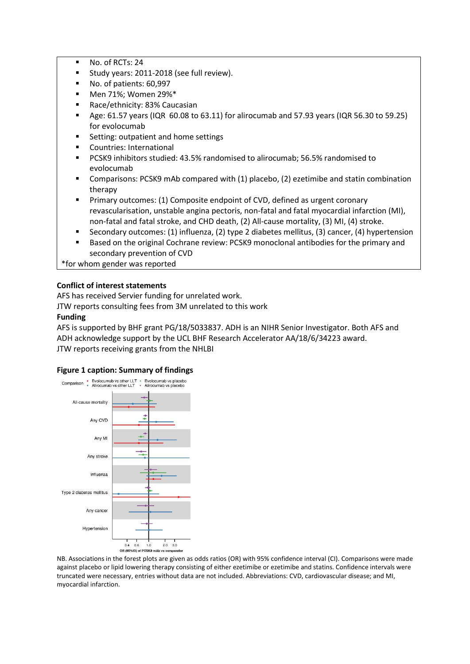- No. of RCTs: 24
- Study years: 2011-2018 (see full review).
- No. of patients: 60,997
- Men 71%; Women 29%\*
- Race/ethnicity: 83% Caucasian
- Age: 61.57 years (IQR 60.08 to 63.11) for alirocumab and 57.93 years (IQR 56.30 to 59.25) for evolocumab
- Setting: outpatient and home settings
- Countries: International
- PCSK9 inhibitors studied: 43.5% randomised to alirocumab; 56.5% randomised to evolocumab
- Comparisons: PCSK9 mAb compared with (1) placebo, (2) ezetimibe and statin combination therapy
- Primary outcomes: (1) Composite endpoint of CVD, defined as urgent coronary revascularisation, unstable angina pectoris, non-fatal and fatal myocardial infarction (MI), non-fatal and fatal stroke, and CHD death, (2) All-cause mortality, (3) MI, (4) stroke.
- Secondary outcomes: (1) influenza, (2) type 2 diabetes mellitus, (3) cancer, (4) hypertension
- Based on the original Cochrane review: PCSK9 monoclonal antibodies for the primary and secondary prevention of CVD

\*for whom gender was reported

# Conflict of interest statements

AFS has received Servier funding for unrelated work.

JTW reports consulting fees from 3M unrelated to this work

# Funding

AFS is supported by BHF grant PG/18/5033837. ADH is an NIHR Senior Investigator. Both AFS and ADH acknowledge support by the UCL BHF Research Accelerator AA/18/6/34223 award. JTW reports receiving grants from the NHLBI

## Figure 1 caption: Summary of findings



NB. Associations in the forest plots are given as odds ratios (OR) with 95% confidence interval (CI). Comparisons were made against placebo or lipid lowering therapy consisting of either ezetimibe or ezetimibe and statins. Confidence intervals were truncated were necessary, entries without data are not included. Abbreviations: CVD, cardiovascular disease; and MI, myocardial infarction.